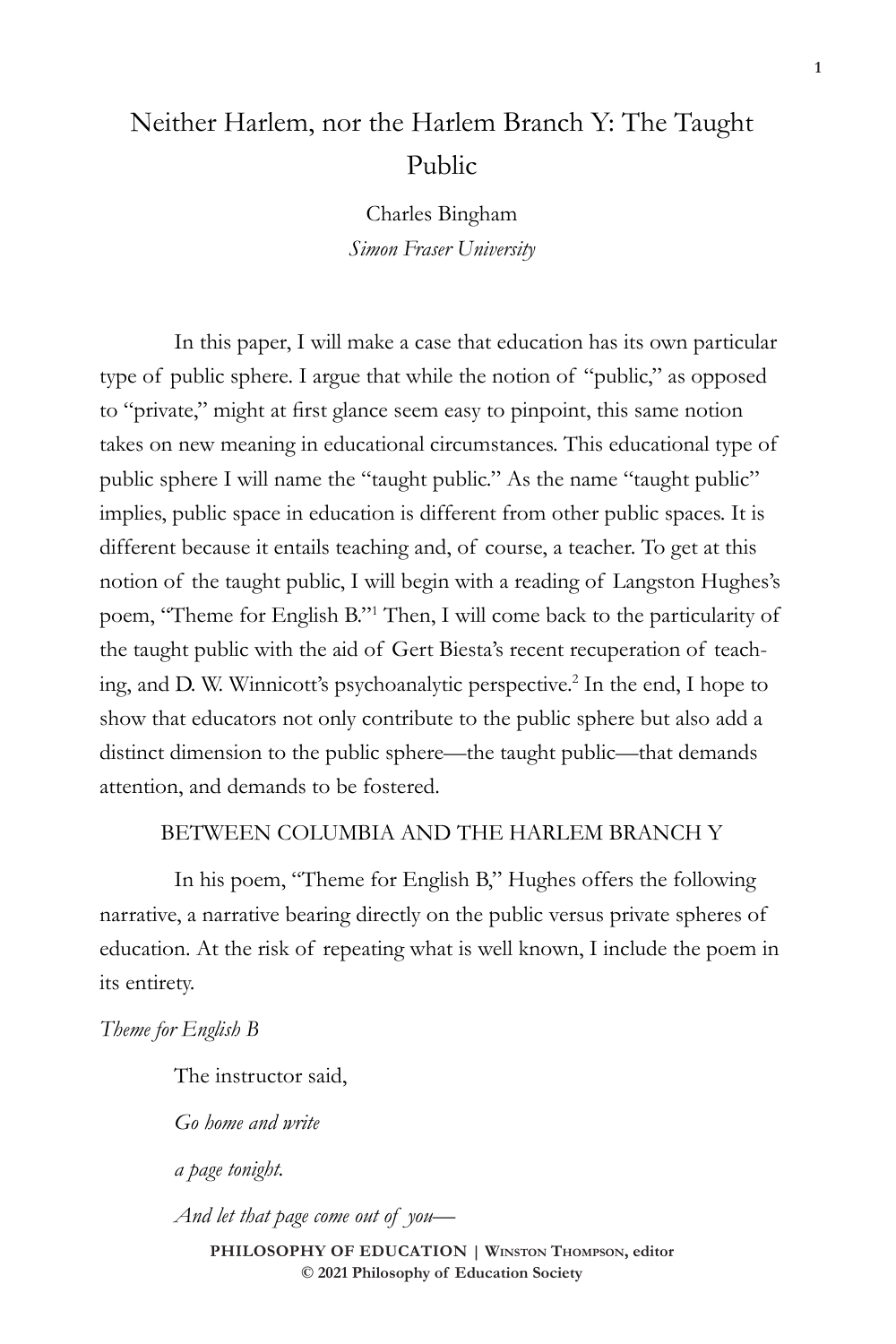# Neither Harlem, nor the Harlem Branch Y: The Taught Public

Charles Bingham *Simon Fraser University*

In this paper, I will make a case that education has its own particular type of public sphere. I argue that while the notion of "public," as opposed to "private," might at first glance seem easy to pinpoint, this same notion takes on new meaning in educational circumstances. This educational type of public sphere I will name the "taught public." As the name "taught public" implies, public space in education is different from other public spaces. It is different because it entails teaching and, of course, a teacher. To get at this notion of the taught public, I will begin with a reading of Langston Hughes's poem, "Theme for English B."1 Then, I will come back to the particularity of the taught public with the aid of Gert Biesta's recent recuperation of teaching, and D. W. Winnicott's psychoanalytic perspective.2 In the end, I hope to show that educators not only contribute to the public sphere but also add a distinct dimension to the public sphere—the taught public—that demands attention, and demands to be fostered.

# BETWEEN COLUMBIA AND THE HARLEM BRANCH Y

In his poem, "Theme for English B," Hughes offers the following narrative, a narrative bearing directly on the public versus private spheres of education. At the risk of repeating what is well known, I include the poem in its entirety.

*Theme for English B*

The instructor said,

*Go home and write*

*a page tonight.*

*And let that page come out of you—*

**PHILOSOPHY OF EDUCATION | Winston Thompson, editor © 2021 Philosophy of Education Society**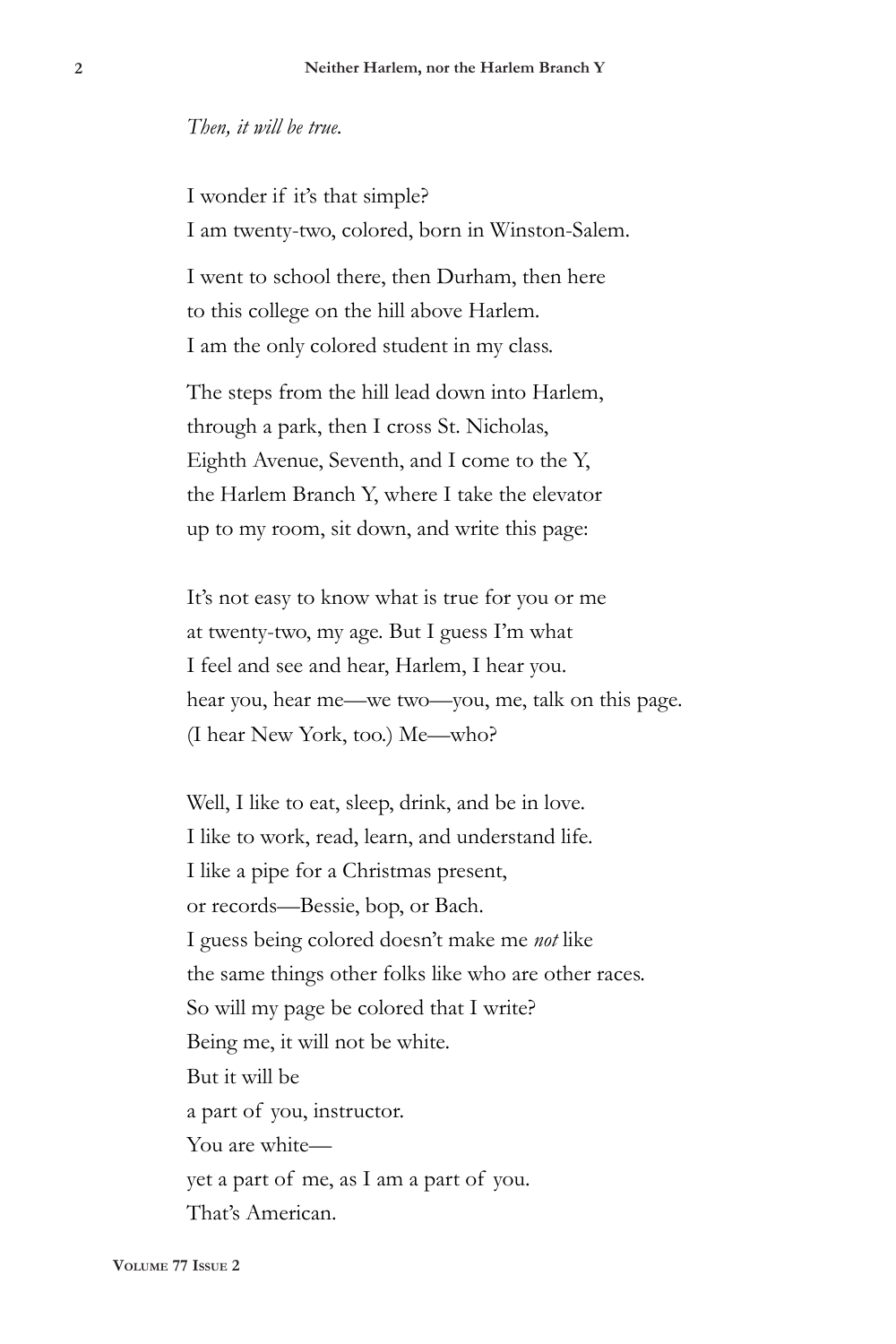#### *Then, it will be true.*

I wonder if it's that simple? I am twenty-two, colored, born in Winston-Salem.

I went to school there, then Durham, then here to this college on the hill above Harlem. I am the only colored student in my class.

The steps from the hill lead down into Harlem, through a park, then I cross St. Nicholas, Eighth Avenue, Seventh, and I come to the Y, the Harlem Branch Y, where I take the elevator up to my room, sit down, and write this page:

It's not easy to know what is true for you or me at twenty-two, my age. But I guess I'm what I feel and see and hear, Harlem, I hear you. hear you, hear me—we two—you, me, talk on this page. (I hear New York, too.) Me—who?

Well, I like to eat, sleep, drink, and be in love. I like to work, read, learn, and understand life. I like a pipe for a Christmas present, or records—Bessie, bop, or Bach. I guess being colored doesn't make me *not* like the same things other folks like who are other races. So will my page be colored that I write? Being me, it will not be white. But it will be a part of you, instructor. You are white yet a part of me, as I am a part of you. That's American.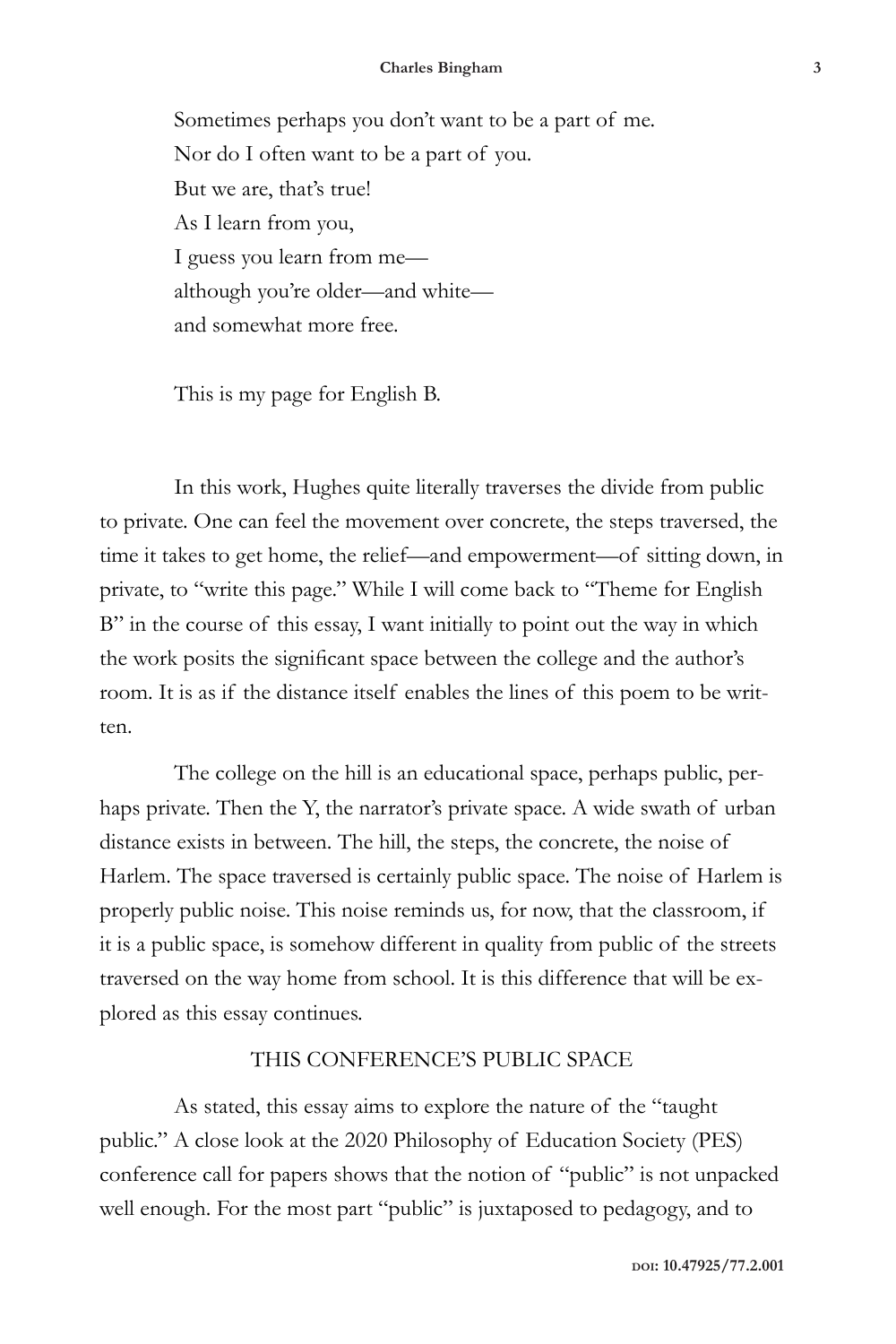Sometimes perhaps you don't want to be a part of me. Nor do I often want to be a part of you. But we are, that's true! As I learn from you, I guess you learn from me although you're older—and white and somewhat more free.

This is my page for English B.

In this work, Hughes quite literally traverses the divide from public to private. One can feel the movement over concrete, the steps traversed, the time it takes to get home, the relief—and empowerment—of sitting down, in private, to "write this page." While I will come back to "Theme for English B" in the course of this essay, I want initially to point out the way in which the work posits the significant space between the college and the author's room. It is as if the distance itself enables the lines of this poem to be written.

The college on the hill is an educational space, perhaps public, perhaps private. Then the Y, the narrator's private space. A wide swath of urban distance exists in between. The hill, the steps, the concrete, the noise of Harlem. The space traversed is certainly public space. The noise of Harlem is properly public noise. This noise reminds us, for now, that the classroom, if it is a public space, is somehow different in quality from public of the streets traversed on the way home from school. It is this difference that will be explored as this essay continues.

### THIS CONFERENCE'S PUBLIC SPACE

As stated, this essay aims to explore the nature of the "taught public." A close look at the 2020 Philosophy of Education Society (PES) conference call for papers shows that the notion of "public" is not unpacked well enough. For the most part "public" is juxtaposed to pedagogy, and to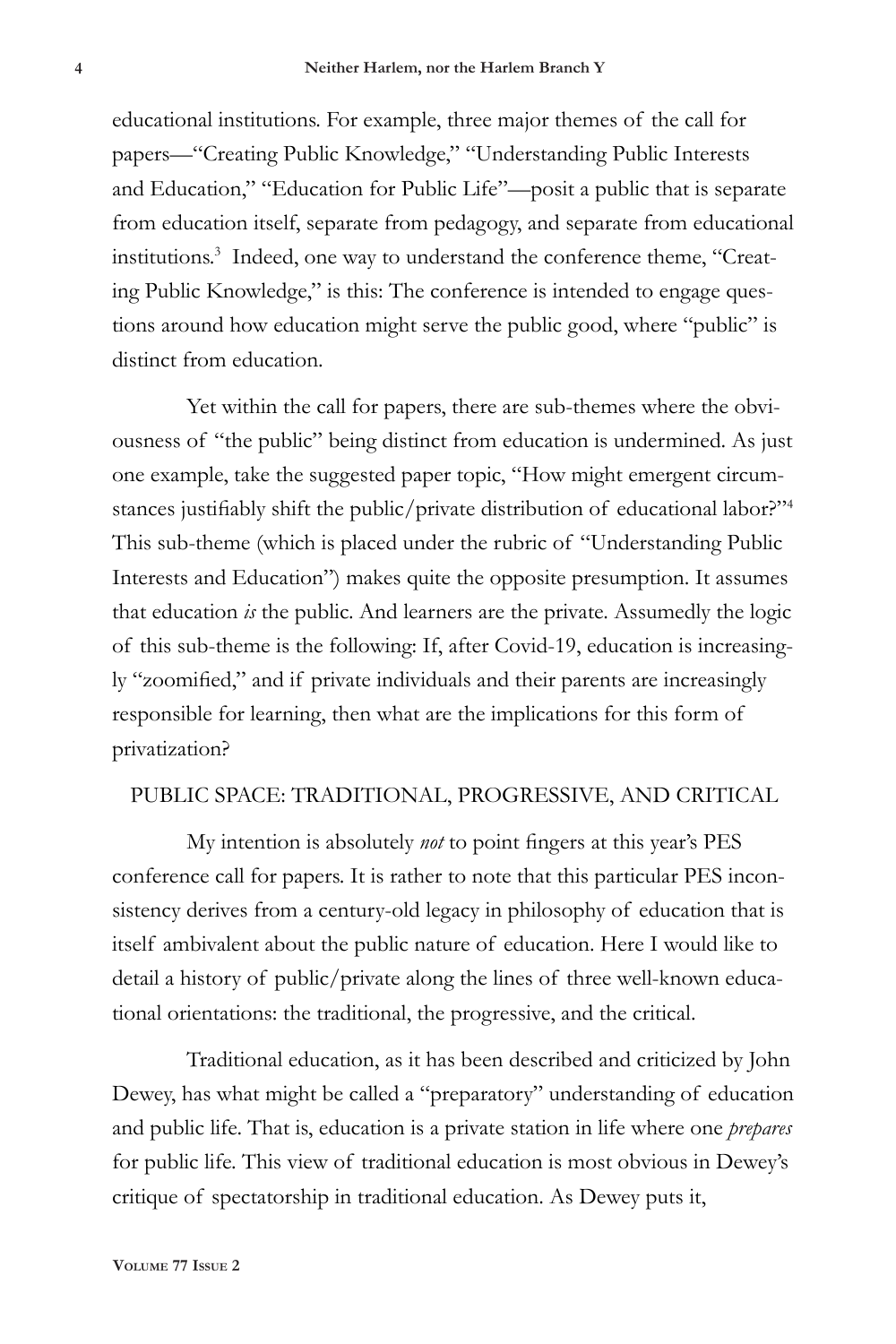educational institutions. For example, three major themes of the call for papers—"Creating Public Knowledge," "Understanding Public Interests and Education," "Education for Public Life"—posit a public that is separate from education itself, separate from pedagogy, and separate from educational institutions.3 Indeed, one way to understand the conference theme, "Creating Public Knowledge," is this: The conference is intended to engage questions around how education might serve the public good, where "public" is distinct from education.

Yet within the call for papers, there are sub-themes where the obviousness of "the public" being distinct from education is undermined. As just one example, take the suggested paper topic, "How might emergent circumstances justifiably shift the public/private distribution of educational labor?"<sup>4</sup> This sub-theme (which is placed under the rubric of "Understanding Public Interests and Education") makes quite the opposite presumption. It assumes that education *is* the public. And learners are the private. Assumedly the logic of this sub-theme is the following: If, after Covid-19, education is increasingly "zoomified," and if private individuals and their parents are increasingly responsible for learning, then what are the implications for this form of privatization?

#### PUBLIC SPACE: TRADITIONAL, PROGRESSIVE, AND CRITICAL

My intention is absolutely *not* to point fingers at this year's PES conference call for papers. It is rather to note that this particular PES inconsistency derives from a century-old legacy in philosophy of education that is itself ambivalent about the public nature of education. Here I would like to detail a history of public/private along the lines of three well-known educational orientations: the traditional, the progressive, and the critical.

Traditional education, as it has been described and criticized by John Dewey, has what might be called a "preparatory" understanding of education and public life. That is, education is a private station in life where one *prepares* for public life. This view of traditional education is most obvious in Dewey's critique of spectatorship in traditional education. As Dewey puts it,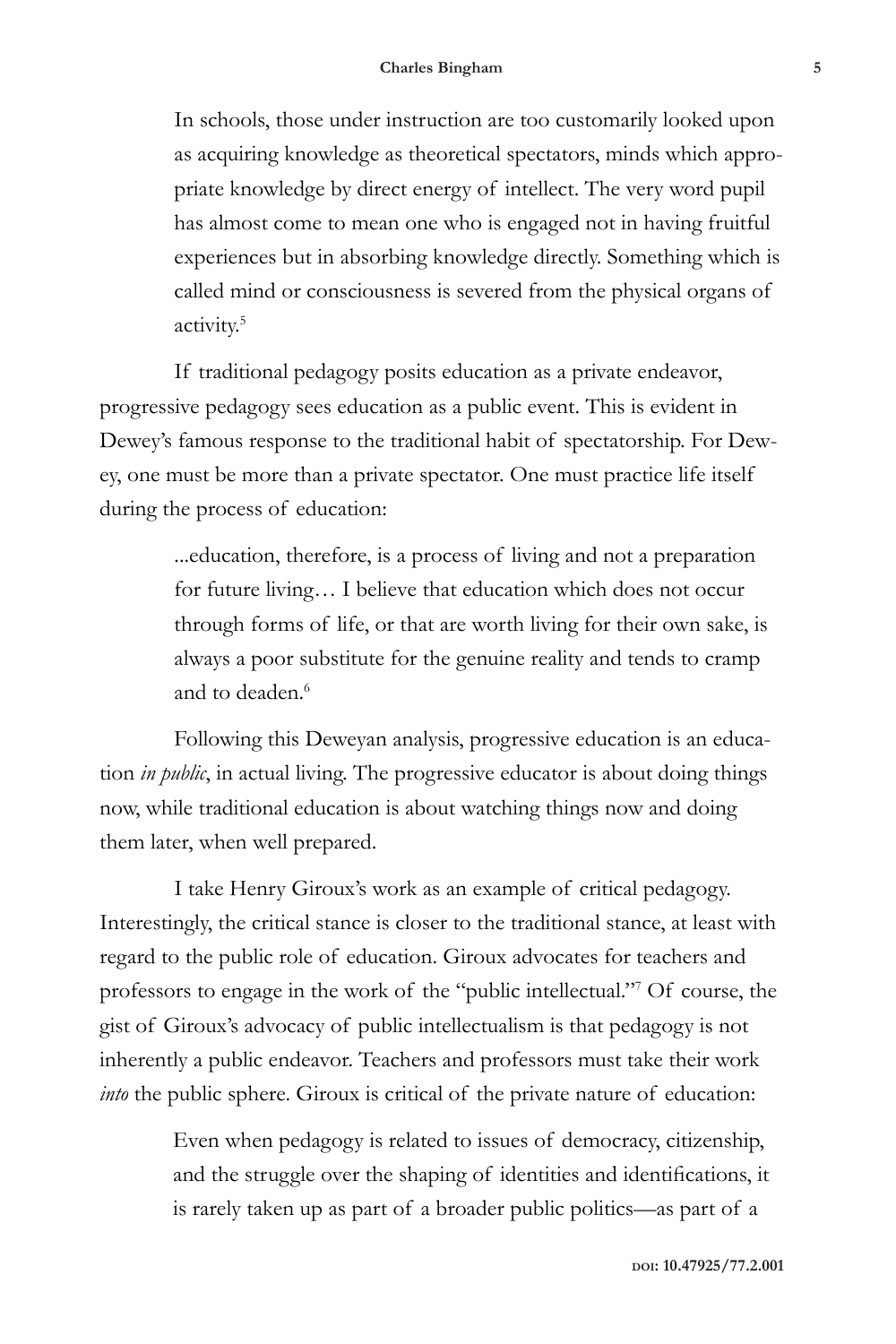In schools, those under instruction are too customarily looked upon as acquiring knowledge as theoretical spectators, minds which appropriate knowledge by direct energy of intellect. The very word pupil has almost come to mean one who is engaged not in having fruitful experiences but in absorbing knowledge directly. Something which is called mind or consciousness is severed from the physical organs of activity.5

If traditional pedagogy posits education as a private endeavor, progressive pedagogy sees education as a public event. This is evident in Dewey's famous response to the traditional habit of spectatorship. For Dewey, one must be more than a private spectator. One must practice life itself during the process of education:

> ...education, therefore, is a process of living and not a preparation for future living… I believe that education which does not occur through forms of life, or that are worth living for their own sake, is always a poor substitute for the genuine reality and tends to cramp and to deaden.<sup>6</sup>

Following this Deweyan analysis, progressive education is an education *in public*, in actual living. The progressive educator is about doing things now, while traditional education is about watching things now and doing them later, when well prepared.

I take Henry Giroux's work as an example of critical pedagogy. Interestingly, the critical stance is closer to the traditional stance, at least with regard to the public role of education. Giroux advocates for teachers and professors to engage in the work of the "public intellectual."7 Of course, the gist of Giroux's advocacy of public intellectualism is that pedagogy is not inherently a public endeavor. Teachers and professors must take their work *into* the public sphere. Giroux is critical of the private nature of education:

> Even when pedagogy is related to issues of democracy, citizenship, and the struggle over the shaping of identities and identifications, it is rarely taken up as part of a broader public politics—as part of a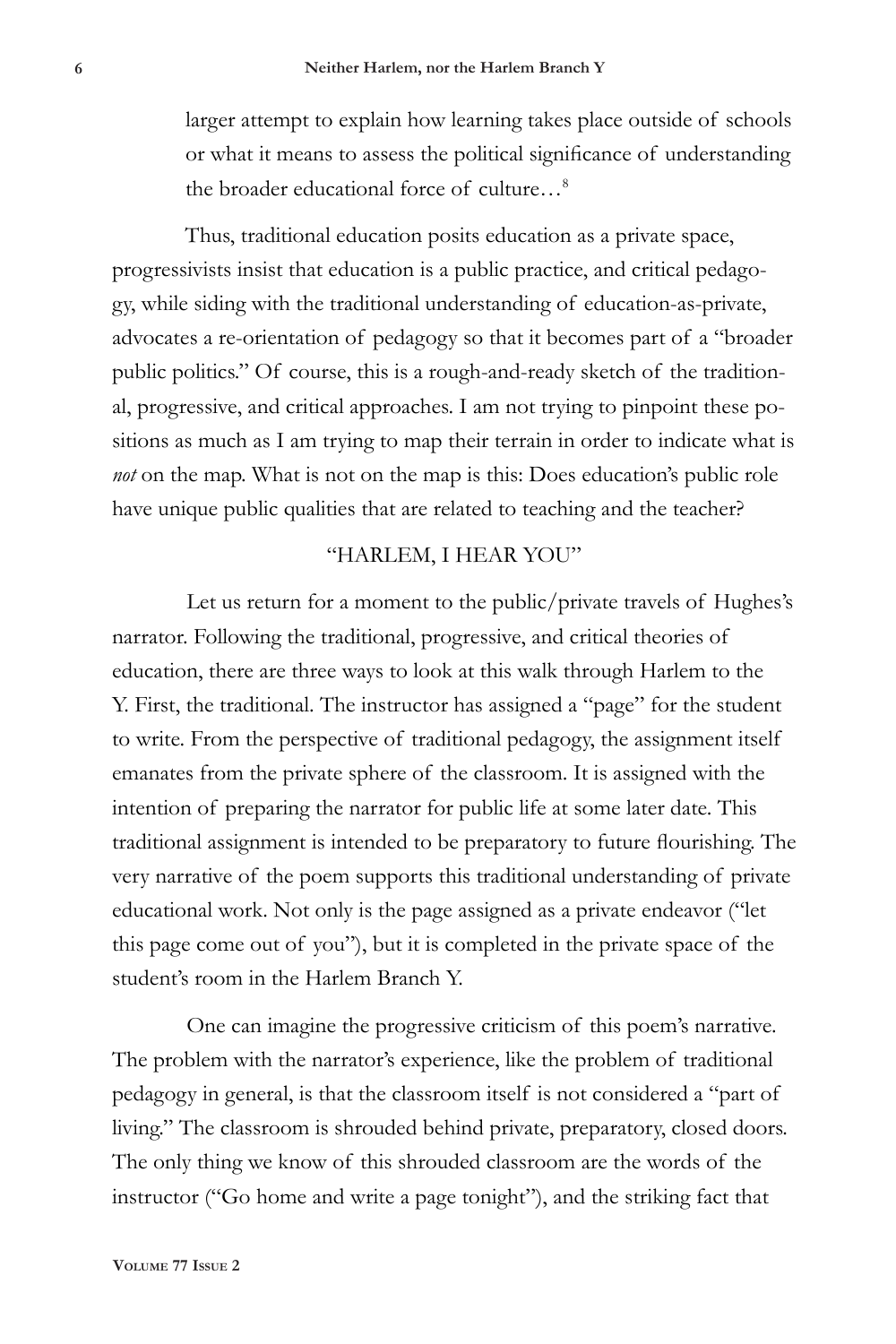larger attempt to explain how learning takes place outside of schools or what it means to assess the political significance of understanding the broader educational force of culture…8

Thus, traditional education posits education as a private space, progressivists insist that education is a public practice, and critical pedagogy, while siding with the traditional understanding of education-as-private, advocates a re-orientation of pedagogy so that it becomes part of a "broader public politics." Of course, this is a rough-and-ready sketch of the traditional, progressive, and critical approaches. I am not trying to pinpoint these positions as much as I am trying to map their terrain in order to indicate what is *not* on the map. What is not on the map is this: Does education's public role have unique public qualities that are related to teaching and the teacher?

## "HARLEM, I HEAR YOU"

Let us return for a moment to the public/private travels of Hughes's narrator. Following the traditional, progressive, and critical theories of education, there are three ways to look at this walk through Harlem to the Y. First, the traditional. The instructor has assigned a "page" for the student to write. From the perspective of traditional pedagogy, the assignment itself emanates from the private sphere of the classroom. It is assigned with the intention of preparing the narrator for public life at some later date. This traditional assignment is intended to be preparatory to future flourishing. The very narrative of the poem supports this traditional understanding of private educational work. Not only is the page assigned as a private endeavor ("let this page come out of you"), but it is completed in the private space of the student's room in the Harlem Branch Y.

One can imagine the progressive criticism of this poem's narrative. The problem with the narrator's experience, like the problem of traditional pedagogy in general, is that the classroom itself is not considered a "part of living." The classroom is shrouded behind private, preparatory, closed doors. The only thing we know of this shrouded classroom are the words of the instructor ("Go home and write a page tonight"), and the striking fact that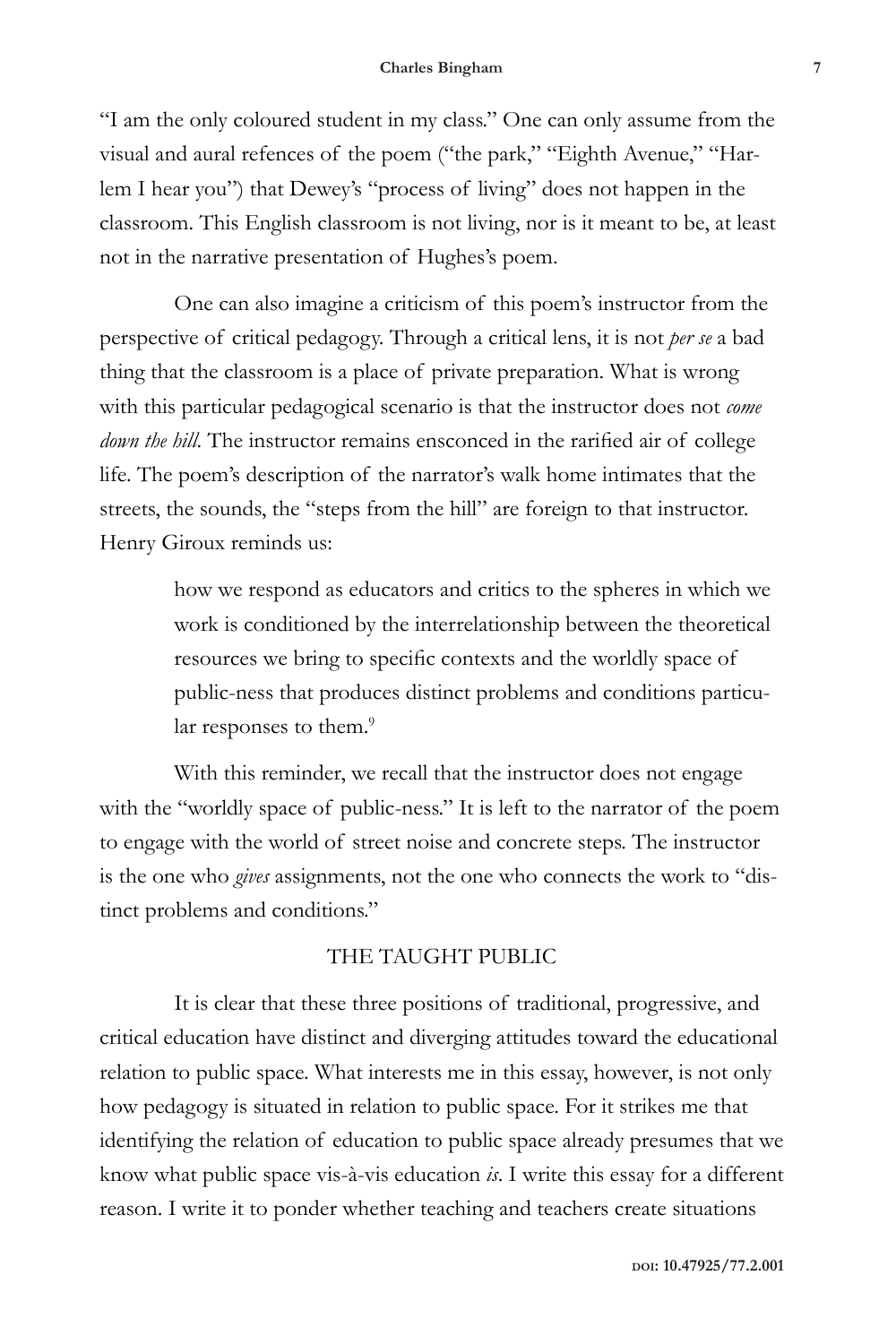"I am the only coloured student in my class." One can only assume from the visual and aural refences of the poem ("the park," "Eighth Avenue," "Harlem I hear you") that Dewey's "process of living" does not happen in the classroom. This English classroom is not living, nor is it meant to be, at least not in the narrative presentation of Hughes's poem.

One can also imagine a criticism of this poem's instructor from the perspective of critical pedagogy. Through a critical lens, it is not *per se* a bad thing that the classroom is a place of private preparation. What is wrong with this particular pedagogical scenario is that the instructor does not *come down the hill*. The instructor remains ensconced in the rarified air of college life. The poem's description of the narrator's walk home intimates that the streets, the sounds, the "steps from the hill" are foreign to that instructor. Henry Giroux reminds us:

> how we respond as educators and critics to the spheres in which we work is conditioned by the interrelationship between the theoretical resources we bring to specific contexts and the worldly space of public-ness that produces distinct problems and conditions particular responses to them.<sup>9</sup>

With this reminder, we recall that the instructor does not engage with the "worldly space of public-ness." It is left to the narrator of the poem to engage with the world of street noise and concrete steps. The instructor is the one who *gives* assignments, not the one who connects the work to "distinct problems and conditions."

# THE TAUGHT PUBLIC

It is clear that these three positions of traditional, progressive, and critical education have distinct and diverging attitudes toward the educational relation to public space. What interests me in this essay, however, is not only how pedagogy is situated in relation to public space. For it strikes me that identifying the relation of education to public space already presumes that we know what public space vis-à-vis education *is*. I write this essay for a different reason. I write it to ponder whether teaching and teachers create situations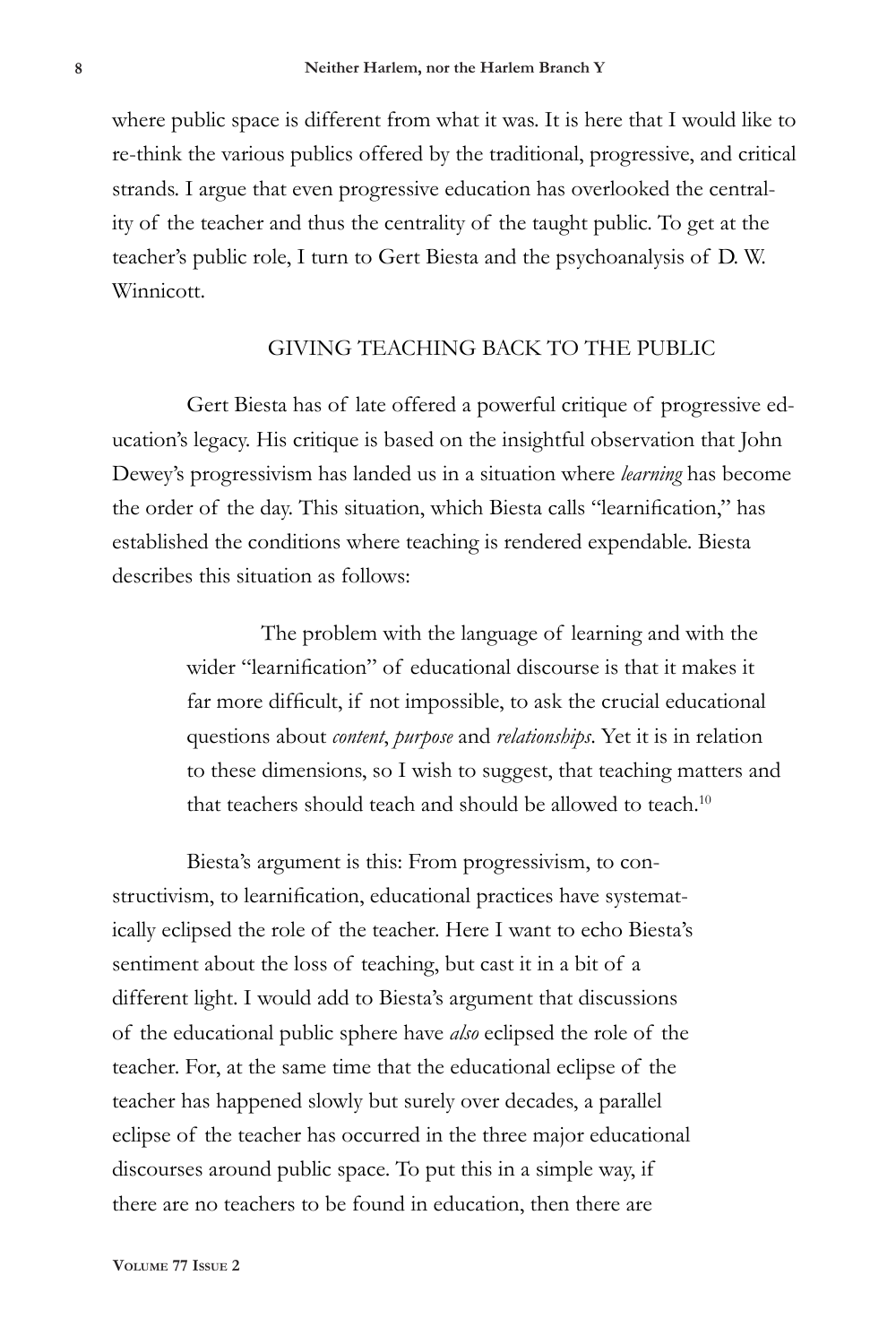where public space is different from what it was. It is here that I would like to re-think the various publics offered by the traditional, progressive, and critical strands. I argue that even progressive education has overlooked the centrality of the teacher and thus the centrality of the taught public. To get at the teacher's public role, I turn to Gert Biesta and the psychoanalysis of D. W. Winnicott.

# GIVING TEACHING BACK TO THE PUBLIC

Gert Biesta has of late offered a powerful critique of progressive education's legacy. His critique is based on the insightful observation that John Dewey's progressivism has landed us in a situation where *learning* has become the order of the day. This situation, which Biesta calls "learnification," has established the conditions where teaching is rendered expendable. Biesta describes this situation as follows:

> The problem with the language of learning and with the wider "learnification" of educational discourse is that it makes it far more difficult, if not impossible, to ask the crucial educational questions about *content*, *purpose* and *relationships*. Yet it is in relation to these dimensions, so I wish to suggest, that teaching matters and that teachers should teach and should be allowed to teach.<sup>10</sup>

Biesta's argument is this: From progressivism, to constructivism, to learnification, educational practices have systematically eclipsed the role of the teacher. Here I want to echo Biesta's sentiment about the loss of teaching, but cast it in a bit of a different light. I would add to Biesta's argument that discussions of the educational public sphere have *also* eclipsed the role of the teacher. For, at the same time that the educational eclipse of the teacher has happened slowly but surely over decades, a parallel eclipse of the teacher has occurred in the three major educational discourses around public space. To put this in a simple way, if there are no teachers to be found in education, then there are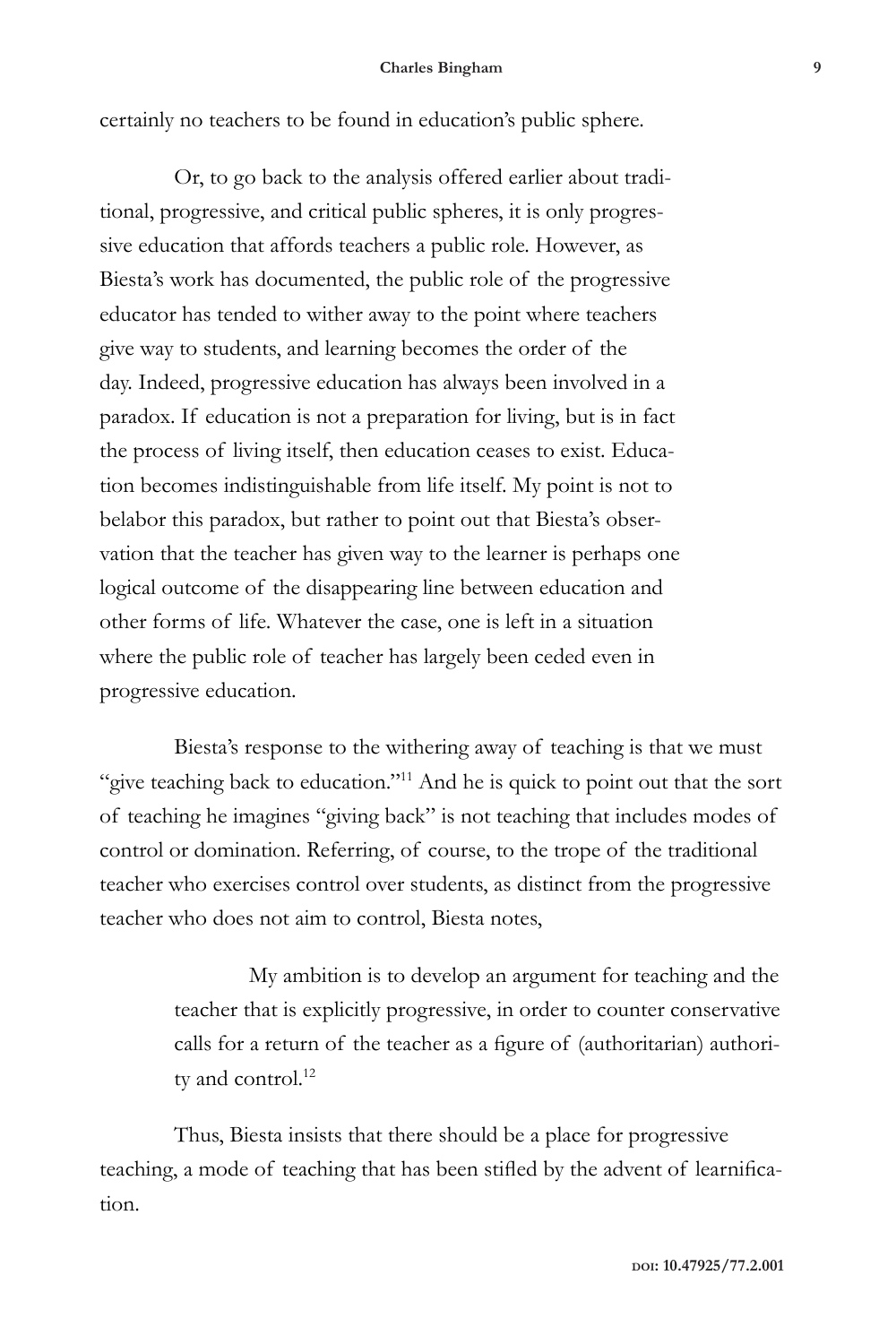certainly no teachers to be found in education's public sphere.

Or, to go back to the analysis offered earlier about traditional, progressive, and critical public spheres, it is only progressive education that affords teachers a public role. However, as Biesta's work has documented, the public role of the progressive educator has tended to wither away to the point where teachers give way to students, and learning becomes the order of the day. Indeed, progressive education has always been involved in a paradox. If education is not a preparation for living, but is in fact the process of living itself, then education ceases to exist. Education becomes indistinguishable from life itself. My point is not to belabor this paradox, but rather to point out that Biesta's observation that the teacher has given way to the learner is perhaps one logical outcome of the disappearing line between education and other forms of life. Whatever the case, one is left in a situation where the public role of teacher has largely been ceded even in progressive education.

Biesta's response to the withering away of teaching is that we must "give teaching back to education."<sup>11</sup> And he is quick to point out that the sort of teaching he imagines "giving back" is not teaching that includes modes of control or domination. Referring, of course, to the trope of the traditional teacher who exercises control over students, as distinct from the progressive teacher who does not aim to control, Biesta notes,

> My ambition is to develop an argument for teaching and the teacher that is explicitly progressive, in order to counter conservative calls for a return of the teacher as a figure of (authoritarian) authority and control.<sup>12</sup>

Thus, Biesta insists that there should be a place for progressive teaching, a mode of teaching that has been stifled by the advent of learnification.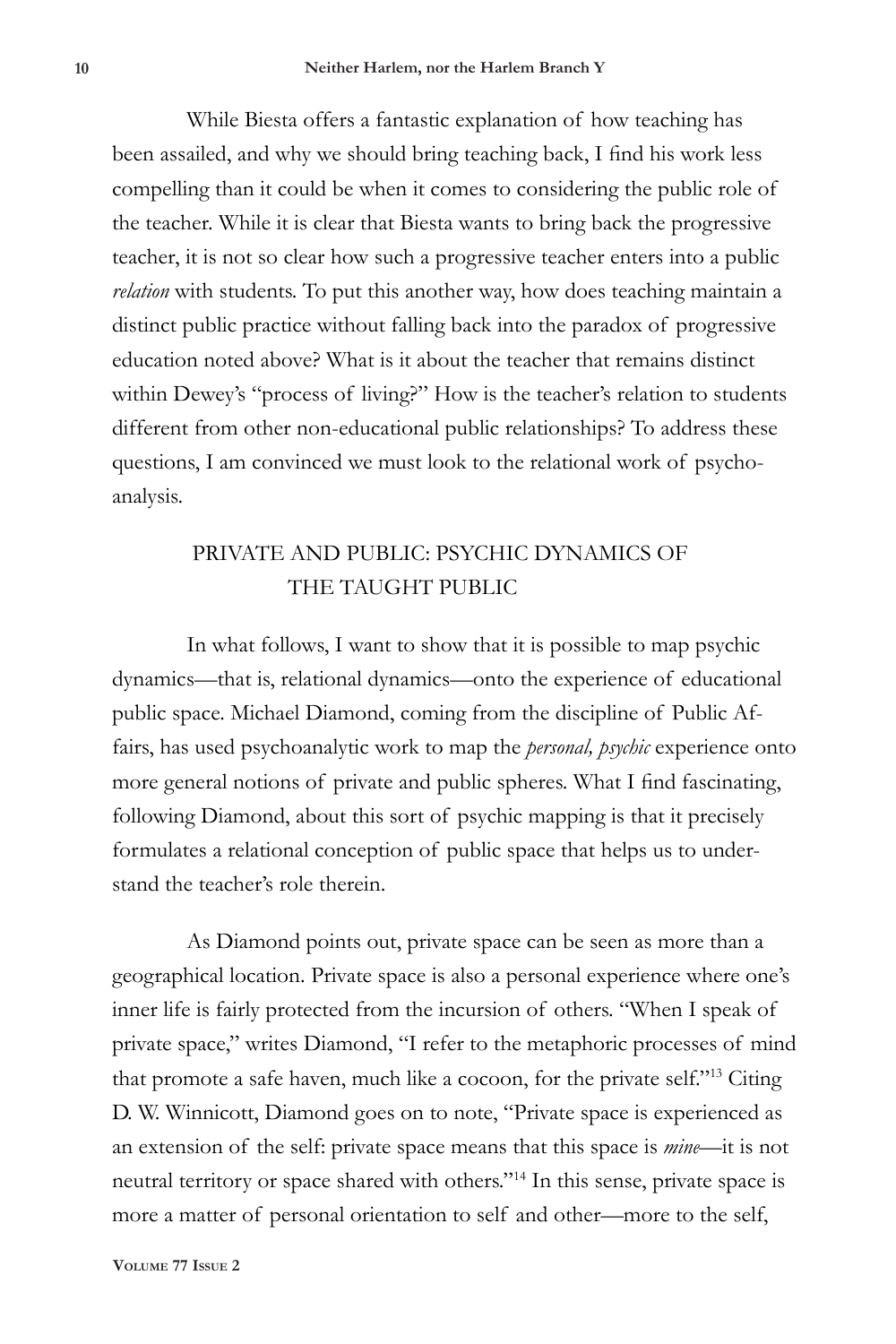While Biesta offers a fantastic explanation of how teaching has been assailed, and why we should bring teaching back, I find his work less compelling than it could be when it comes to considering the public role of the teacher. While it is clear that Biesta wants to bring back the progressive teacher, it is not so clear how such a progressive teacher enters into a public *relation* with students. To put this another way, how does teaching maintain a distinct public practice without falling back into the paradox of progressive education noted above? What is it about the teacher that remains distinct within Dewey's "process of living?" How is the teacher's relation to students different from other non-educational public relationships? To address these questions, I am convinced we must look to the relational work of psychoanalysis.

# PRIVATE AND PUBLIC: PSYCHIC DYNAMICS OF THE TAUGHT PUBLIC

In what follows, I want to show that it is possible to map psychic dynamics—that is, relational dynamics—onto the experience of educational public space. Michael Diamond, coming from the discipline of Public Affairs, has used psychoanalytic work to map the *personal, psychic* experience onto more general notions of private and public spheres. What I find fascinating, following Diamond, about this sort of psychic mapping is that it precisely formulates a relational conception of public space that helps us to understand the teacher's role therein.

As Diamond points out, private space can be seen as more than a geographical location. Private space is also a personal experience where one's inner life is fairly protected from the incursion of others. "When I speak of private space," writes Diamond, "I refer to the metaphoric processes of mind that promote a safe haven, much like a cocoon, for the private self."13 Citing D. W. Winnicott, Diamond goes on to note, "Private space is experienced as an extension of the self: private space means that this space is *mine*—it is not neutral territory or space shared with others."14 In this sense, private space is more a matter of personal orientation to self and other—more to the self,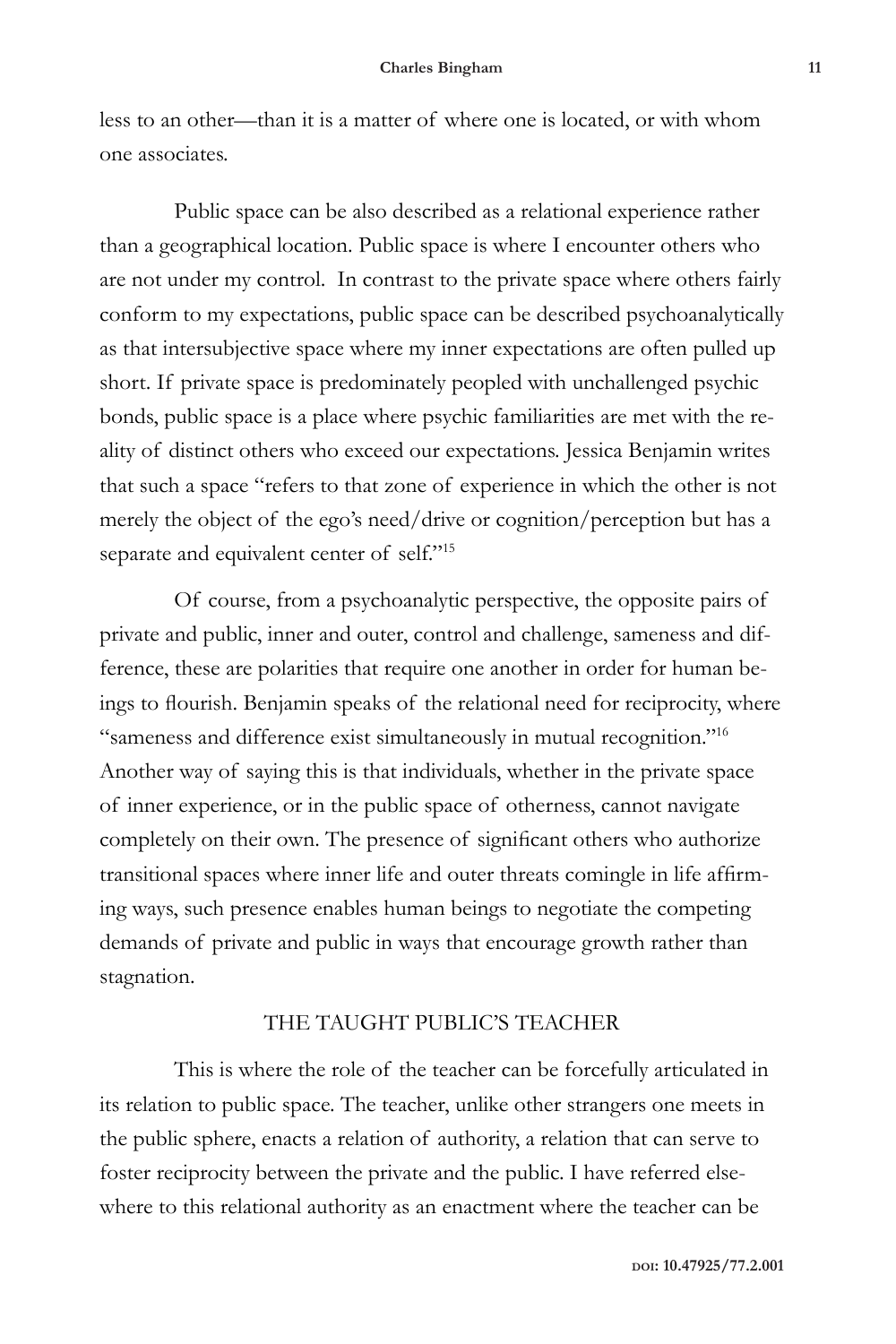less to an other—than it is a matter of where one is located, or with whom one associates.

Public space can be also described as a relational experience rather than a geographical location. Public space is where I encounter others who are not under my control. In contrast to the private space where others fairly conform to my expectations, public space can be described psychoanalytically as that intersubjective space where my inner expectations are often pulled up short. If private space is predominately peopled with unchallenged psychic bonds, public space is a place where psychic familiarities are met with the reality of distinct others who exceed our expectations. Jessica Benjamin writes that such a space "refers to that zone of experience in which the other is not merely the object of the ego's need/drive or cognition/perception but has a separate and equivalent center of self."<sup>15</sup>

Of course, from a psychoanalytic perspective, the opposite pairs of private and public, inner and outer, control and challenge, sameness and difference, these are polarities that require one another in order for human beings to flourish. Benjamin speaks of the relational need for reciprocity, where "sameness and difference exist simultaneously in mutual recognition."16 Another way of saying this is that individuals, whether in the private space of inner experience, or in the public space of otherness, cannot navigate completely on their own. The presence of significant others who authorize transitional spaces where inner life and outer threats comingle in life affirming ways, such presence enables human beings to negotiate the competing demands of private and public in ways that encourage growth rather than stagnation.

## THE TAUGHT PUBLIC'S TEACHER

This is where the role of the teacher can be forcefully articulated in its relation to public space. The teacher, unlike other strangers one meets in the public sphere, enacts a relation of authority, a relation that can serve to foster reciprocity between the private and the public. I have referred elsewhere to this relational authority as an enactment where the teacher can be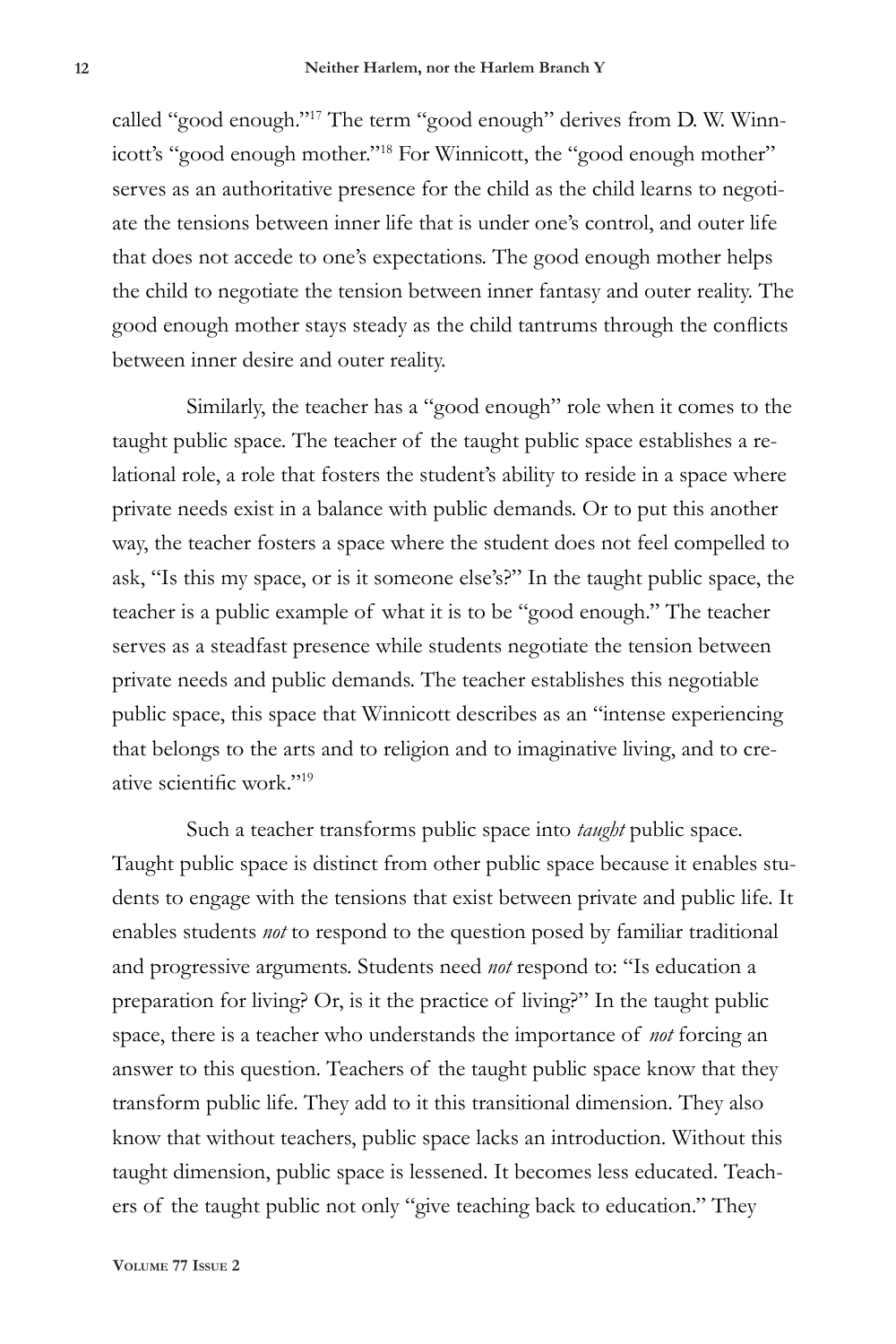called "good enough."17 The term "good enough" derives from D. W. Winnicott's "good enough mother."18 For Winnicott, the "good enough mother" serves as an authoritative presence for the child as the child learns to negotiate the tensions between inner life that is under one's control, and outer life that does not accede to one's expectations. The good enough mother helps the child to negotiate the tension between inner fantasy and outer reality. The good enough mother stays steady as the child tantrums through the conflicts between inner desire and outer reality.

Similarly, the teacher has a "good enough" role when it comes to the taught public space. The teacher of the taught public space establishes a relational role, a role that fosters the student's ability to reside in a space where private needs exist in a balance with public demands. Or to put this another way, the teacher fosters a space where the student does not feel compelled to ask, "Is this my space, or is it someone else's?" In the taught public space, the teacher is a public example of what it is to be "good enough." The teacher serves as a steadfast presence while students negotiate the tension between private needs and public demands. The teacher establishes this negotiable public space, this space that Winnicott describes as an "intense experiencing that belongs to the arts and to religion and to imaginative living, and to creative scientific work."<sup>19</sup>

Such a teacher transforms public space into *taught* public space. Taught public space is distinct from other public space because it enables students to engage with the tensions that exist between private and public life. It enables students *not* to respond to the question posed by familiar traditional and progressive arguments. Students need *not* respond to: "Is education a preparation for living? Or, is it the practice of living?" In the taught public space, there is a teacher who understands the importance of *not* forcing an answer to this question. Teachers of the taught public space know that they transform public life. They add to it this transitional dimension. They also know that without teachers, public space lacks an introduction. Without this taught dimension, public space is lessened. It becomes less educated. Teachers of the taught public not only "give teaching back to education." They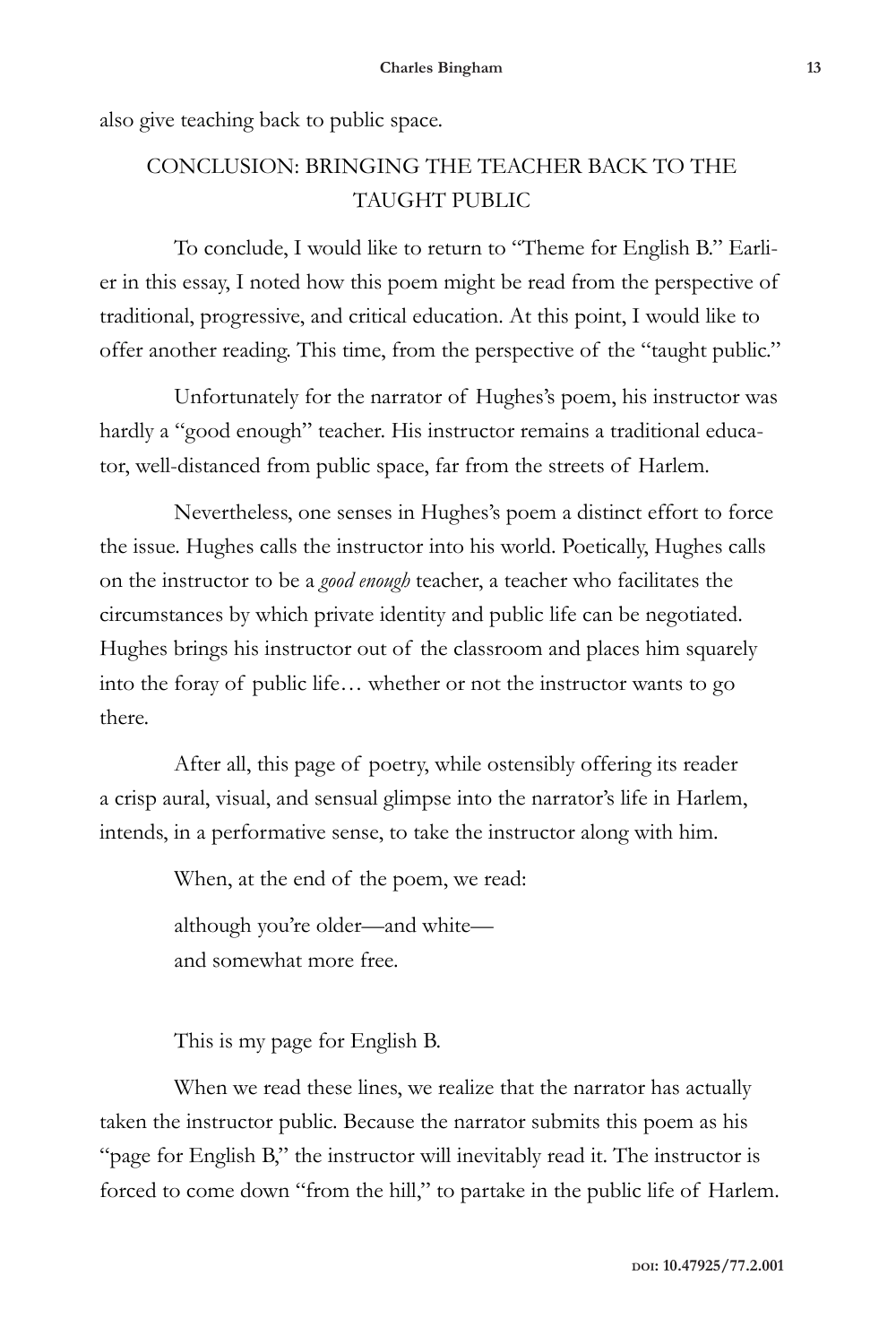also give teaching back to public space.

# CONCLUSION: BRINGING THE TEACHER BACK TO THE TAUGHT PUBLIC

To conclude, I would like to return to "Theme for English B." Earlier in this essay, I noted how this poem might be read from the perspective of traditional, progressive, and critical education. At this point, I would like to offer another reading. This time, from the perspective of the "taught public."

Unfortunately for the narrator of Hughes's poem, his instructor was hardly a "good enough" teacher. His instructor remains a traditional educator, well-distanced from public space, far from the streets of Harlem.

Nevertheless, one senses in Hughes's poem a distinct effort to force the issue. Hughes calls the instructor into his world. Poetically, Hughes calls on the instructor to be a *good enough* teacher, a teacher who facilitates the circumstances by which private identity and public life can be negotiated. Hughes brings his instructor out of the classroom and places him squarely into the foray of public life… whether or not the instructor wants to go there.

After all, this page of poetry, while ostensibly offering its reader a crisp aural, visual, and sensual glimpse into the narrator's life in Harlem, intends, in a performative sense, to take the instructor along with him.

When, at the end of the poem, we read:

although you're older—and white and somewhat more free.

This is my page for English B.

When we read these lines, we realize that the narrator has actually taken the instructor public. Because the narrator submits this poem as his "page for English B," the instructor will inevitably read it. The instructor is forced to come down "from the hill," to partake in the public life of Harlem.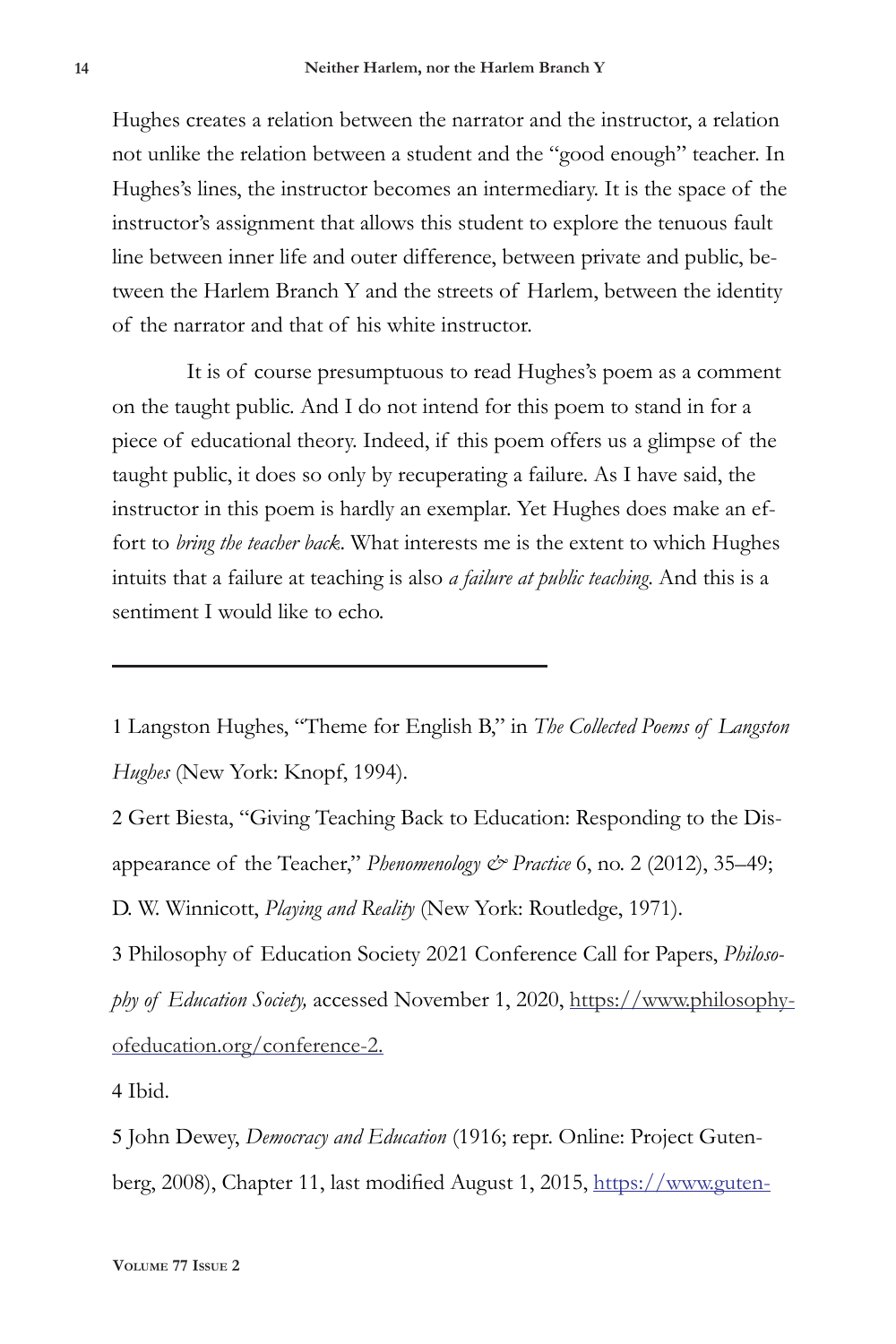Hughes creates a relation between the narrator and the instructor, a relation not unlike the relation between a student and the "good enough" teacher. In Hughes's lines, the instructor becomes an intermediary. It is the space of the instructor's assignment that allows this student to explore the tenuous fault line between inner life and outer difference, between private and public, between the Harlem Branch Y and the streets of Harlem, between the identity of the narrator and that of his white instructor.

It is of course presumptuous to read Hughes's poem as a comment on the taught public. And I do not intend for this poem to stand in for a piece of educational theory. Indeed, if this poem offers us a glimpse of the taught public, it does so only by recuperating a failure. As I have said, the instructor in this poem is hardly an exemplar. Yet Hughes does make an effort to *bring the teacher back*. What interests me is the extent to which Hughes intuits that a failure at teaching is also *a failure at public teaching*. And this is a sentiment I would like to echo.

1 Langston Hughes, "Theme for English B," in *The Collected Poems of Langston Hughes* (New York: Knopf, 1994).

2 Gert Biesta, "Giving Teaching Back to Education: Responding to the Disappearance of the Teacher," *Phenomenology & Practice* 6, no. 2 (2012), 35–49;

D. W. Winnicott, *Playing and Reality* (New York: Routledge, 1971).

3 Philosophy of Education Society 2021 Conference Call for Papers, *Philosophy of Education Society,* accessed November 1, 2020, https://www.philosophyofeducation.org/conference-2.

4 Ibid.

5 John Dewey, *Democracy and Education* (1916; repr. Online: Project Gutenberg, 2008), Chapter 11, last modified August 1, 2015, https://www.guten